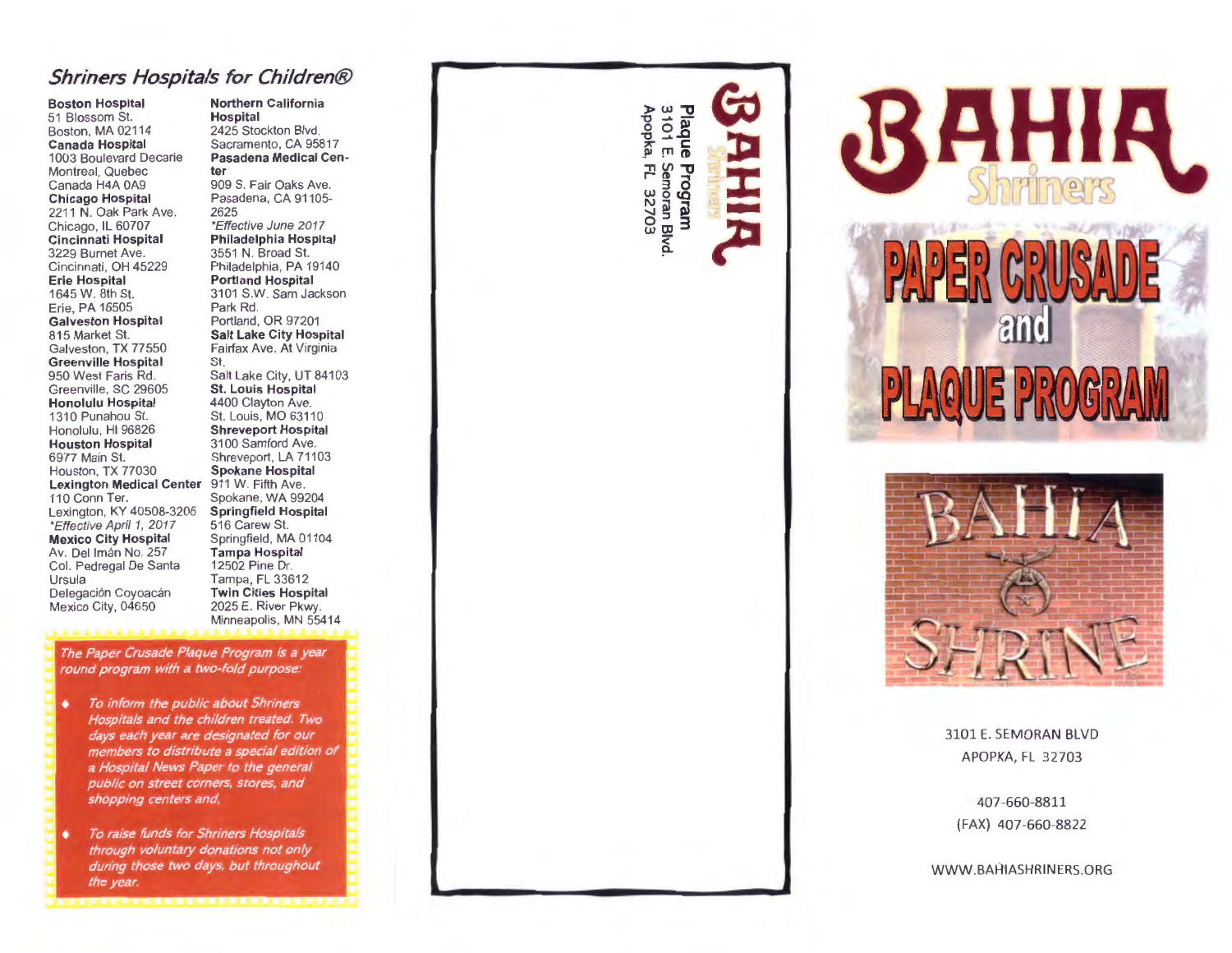## **Shriners Hospitals for Children@**

Boston Hospital 51 Blossom St. Boston, MA 02114 Canada Hospital 1003 Boulevard Decarie Montreal, Quebec Canada H4A OA9 Chicago Hospital 2211 N. Oak Park Ave. Chicago, IL 60707 Cincinnati Hospital 3229 Burnet Ave. Cincinnati, OH 45229 Erie Hospital 1645 W. 8th St. Erie, PA 16505 Galveston Hospital 815 Market St. Galveston, TX 77550 Greenville Hospital 950 West Faris Rd. Greenville, SC 29605 Honolulu Hospital 1310 Punahou St. Honolulu, HI 96826 Houston Hospital 6977 Main St. Houston, TX 77030 Lexington Medical Center 911 W. Fifth Ave. 110 Conn Ter. Lexington, KY 40508-3206 \*Effective April 1, 2017 Mexico City Hospital Av. Del Imán No. 257 Col. Pedregal De Santa Ursula Delegación Coyoacán Mexico City, 04650

Northern California Hospital 2425 Stockton Blvd. Sacramento, CA 95817 Pasadena Medical Center 909 S. Fair Oaks Ave. Pasadena, CA 91105- 2625 \*Effective June 2017 Philadelphia Hospital 3551 N. Broad St. Philadelphia, PA 19140 Portland Hospital 3101 S.W. Sam Jackson Park Rd. Portland, OR 97201 Salt Lake City Hospital Fairfax Ave. At Virginia St. Salt Lake City, UT 84103 St. Louis Hospital 4400 Clayton Ave. St. Louis, MO 63110 Shreveport Hospital 3100 Samford Ave. Shreveport, LA 71103 Spokane Hospital Spokane, WA 99204 Springfield Hospital 516 Carew St. Springfield, MA 01104 Tampa Hospital 12502 Pine Dr. Tampa, FL 33612 Twin Cities Hospital 2025 E. River Pkwy. Minneapolis, MN 55414

The Paper Crusade Plaque Program is a year round program with a two-fold purpose:

- To inform the public about Shriners Hospitals and the children treated. Two days each year are designated for our members to distribute a special edition of a Hospital News Paper to the general public on street corners, stores, and shopping centers and,
- **To raise funds for Shriners Hospitals** through voluntary donations not only during those two days, but throughout the year.

D







3101 E. SEMORAN BLVD APOPKA, FL 32703

407-660-8811 (FAX) 407-660-8822

WWW.BAH1ASHRINERS.ORG